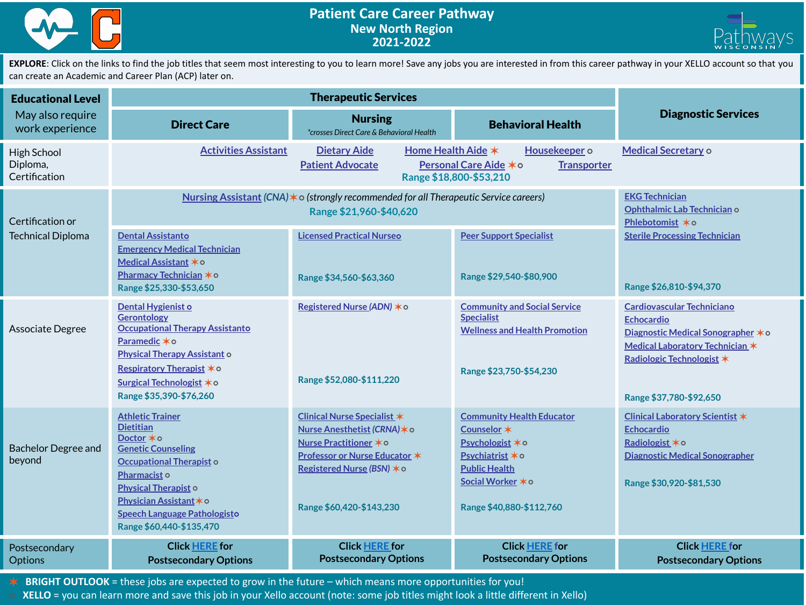



EXPLORE: Click on the links to find the job titles that seem most interesting to you to learn more! Save any jobs you are interested in from this career pathway in your XELLO account so that you can create an Academic and Career Plan (ACP) later on.

| <b>Educational Level</b><br>May also require<br>work experience |                                                                                                                                                                                                                                                         |                                                                                                                                                                                         |                                                                                                                                                                  |                                                                                                                                                                                         |
|-----------------------------------------------------------------|---------------------------------------------------------------------------------------------------------------------------------------------------------------------------------------------------------------------------------------------------------|-----------------------------------------------------------------------------------------------------------------------------------------------------------------------------------------|------------------------------------------------------------------------------------------------------------------------------------------------------------------|-----------------------------------------------------------------------------------------------------------------------------------------------------------------------------------------|
|                                                                 | <b>Direct Care</b>                                                                                                                                                                                                                                      | <b>Nursing</b><br>*crosses Direct Care & Behavioral Health                                                                                                                              | <b>Behavioral Health</b>                                                                                                                                         | <b>Diagnostic Services</b>                                                                                                                                                              |
| <b>High School</b><br>Diploma,<br>Certification                 | <b>Activities Assistant</b>                                                                                                                                                                                                                             | Home Health Aide *<br><b>Dietary Aide</b><br><b>Patient Advocate</b>                                                                                                                    | Housekeeper o<br>Personal Care Aide *o<br><b>Transporter</b><br>Range \$18,800-\$53,210                                                                          | <b>Medical Secretary o</b>                                                                                                                                                              |
| Certification or<br><b>Technical Diploma</b>                    | Nursing Assistant (CNA) $\ast$ o (strongly recommended for all Therapeutic Service careers)                                                                                                                                                             | <b>EKG Technician</b><br>Ophthalmic Lab Technician o<br>Phlebotomist *o                                                                                                                 |                                                                                                                                                                  |                                                                                                                                                                                         |
|                                                                 | <b>Dental Assistanto</b><br><b>Emergency Medical Technician</b><br>Medical Assistant *o<br>Pharmacy Technician *o<br>Range \$25,330-\$53,650                                                                                                            | <b>Licensed Practical Nurseo</b><br>Range \$34,560-\$63,360                                                                                                                             | <b>Peer Support Specialist</b><br>Range \$29,540-\$80,900                                                                                                        | <b>Sterile Processing Technician</b><br>Range \$26,810-\$94,370                                                                                                                         |
| Associate Degree                                                | Dental Hygienist o<br><b>Gerontology</b><br><b>Occupational Therapy Assistanto</b><br>Paramedic *o<br><b>Physical Therapy Assistant o</b><br>Respiratory Therapist *0<br>Surgical Technologist ∗o<br>Range \$35,390-\$76,260                            | Registered Nurse (ADN) * o<br>Range \$52,080-\$111,220                                                                                                                                  | <b>Community and Social Service</b><br><b>Specialist</b><br><b>Wellness and Health Promotion</b><br>Range \$23,750-\$54,230                                      | <b>Cardiovascular Techniciano</b><br><b>Echocardio</b><br>Diagnostic Medical Sonographer * o<br>Medical Laboratory Technician *<br>Radiologic Technologist *<br>Range \$37,780-\$92,650 |
| <b>Bachelor Degree and</b><br>beyond                            | <b>Athletic Trainer</b><br><b>Dietitian</b><br>Doctor *o<br><b>Genetic Counseling</b><br>Occupational Therapist o<br>Pharmacist o<br><b>Physical Therapist o</b><br>Physician Assistant * o<br>Speech Language Pathologisto<br>Range \$60,440-\$135,470 | <b>Clinical Nurse Specialist *</b><br>Nurse Anesthetist (CRNA) * o<br>Nurse Practitioner * o<br>Professor or Nurse Educator *<br>Registered Nurse (BSN) * o<br>Range \$60,420-\$143,230 | <b>Community Health Educator</b><br>Counselor *<br>Psychologist * o<br>Psychiatrist * o<br><b>Public Health</b><br>Social Worker * o<br>Range \$40,880-\$112,760 | Clinical Laboratory Scientist *<br><b>Echocardio</b><br>Radiologist * o<br><b>Diagnostic Medical Sonographer</b><br>Range \$30,920-\$81,530                                             |
| Postsecondary<br><b>Options</b>                                 | <b>Click HERE</b> for<br><b>Postsecondary Options</b>                                                                                                                                                                                                   | <b>Click HERE for</b><br><b>Postsecondary Options</b>                                                                                                                                   | <b>Click HERE</b> for<br><b>Postsecondary Options</b>                                                                                                            | <b>Click HERE for</b><br><b>Postsecondary Options</b>                                                                                                                                   |

✶ **BRIGHT OUTLOOK** = these jobs are expected to grow in the future – which means more opportunities for you!

⭘ **XELLO** = you can learn more and save this job in your Xello account (note: some job titles might look a little different in Xello)